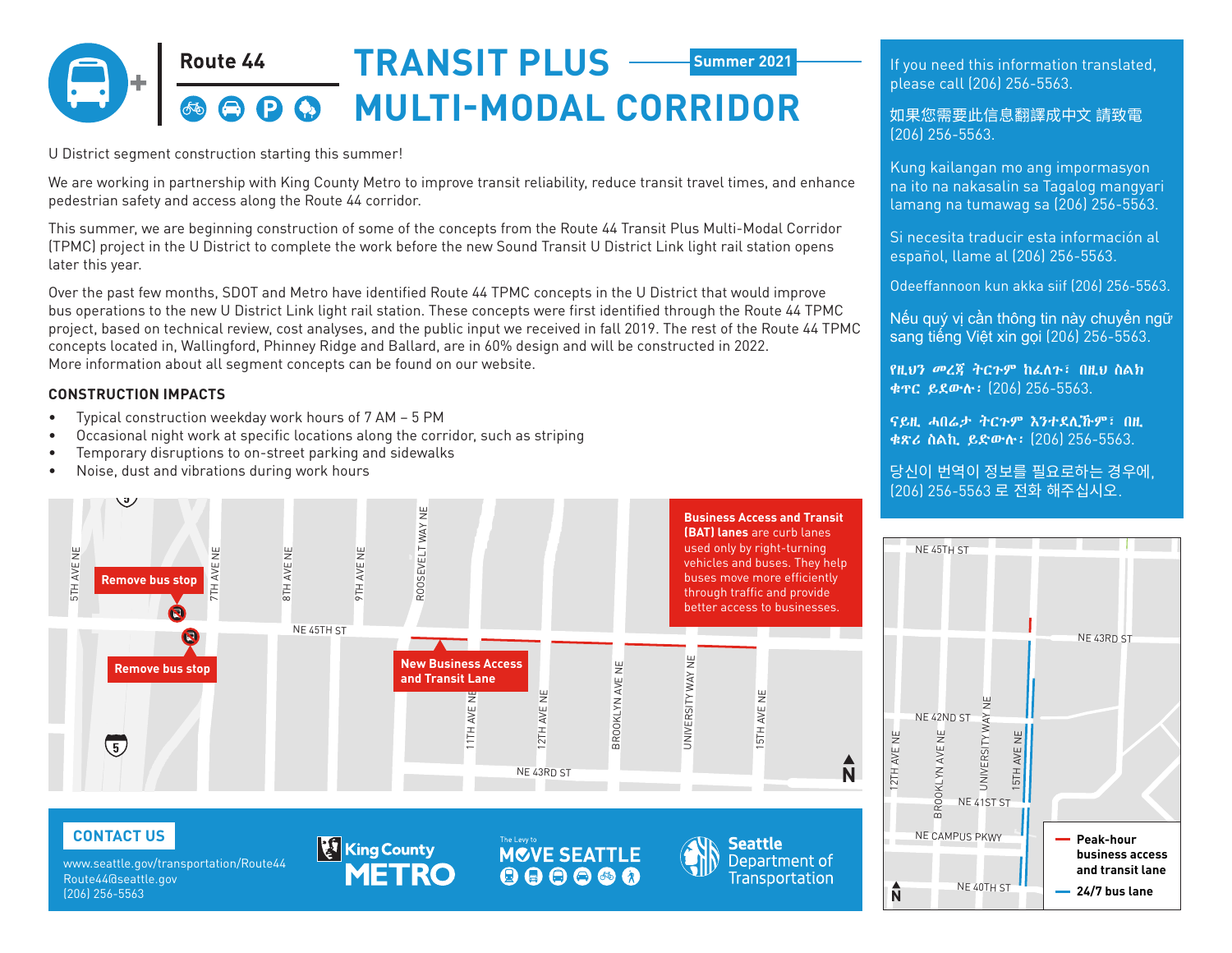

# **TRANSIT PLUS**



# **ADO MULTI-MODAL CORRIDOR**

U District segment construction starting this summer!

We are working in partnership with King County Metro to improve transit reliability, reduce transit travel times, and enhance pedestrian safety and access along the Route 44 corridor.

This summer, we are beginning construction of some of the concepts from the Route 44 Transit Plus Multi-Modal Corridor (TPMC) project in the U District to complete the work before the new Sound Transit U District Link light rail station opens later this year.

Over the past few months, SDOT and Metro have identified Route 44 TPMC concepts in the U District that would improve bus operations to the new U District Link light rail station. These concepts were first identified through the Route 44 TPMC project, based on technical review, cost analyses, and the public input we received in fall 2019. The rest of the Route 44 TPMC concepts located in, Wallingford, Phinney Ridge and Ballard, are in 60% design and will be constructed in 2022. More information about all segment concepts can be found on our website.

#### **CONSTRUCTION IMPACTS**

- Typical construction weekday work hours of 7 AM 5 PM
- Occasional night work at specific locations along the corridor, such as striping
- Temporary disruptions to on-street parking and sidewalks
- Noise, dust and vibrations during work hours



If you need this information translated, please call (206) 256-5563.

如果您需要此信息翻譯成中文 請致電 (206) 256-5563.

Kung kailangan mo ang impormasyon na ito na nakasalin sa Tagalog mangyari lamang na tumawag sa (206) 256-5563.

Si necesita traducir esta información al español, llame al (206) 256-5563.

Odeeffannoon kun akka siif (206) 256-5563.

Nếu quý vị cần thông tin này chuyển ngữ sang tiếng Việt xin gọi (206) 256-5563.

የዚህን መረጃ ትርጉም ከፈለጉ፣ በዚህ ስልክ ቁጥር ይደውሉ: (206) 256-5563.

ናይዚ ሓበሬታ ትርጉም እንተደሊኹም፣ በዚ ቁጽሪ ስልኪ ይድውሉ፡ (206) 256-5563.

당신이 번역이 정보를 필요로하는 경우에, (206) 256-5563 로 전화 해주십시오.



## **CONTACT US**

www.seattle.gov/transportation/Route44 Route44@seattle.gov (206) 256-5563

**WETRO** 



**Seattle** 

Department of

Transportation